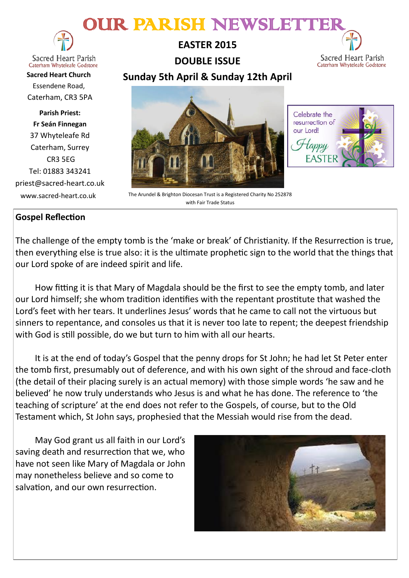# OUR PARISH NEWSLETTER



Caterham Whyteleafe Godstone **Sacred Heart Church** Essendene Road, Caterham, CR3 5PA

**Parish Priest: Fr Seán Finnegan** 37 Whyteleafe Rd Caterham, Surrey CR3 5EG Tel: 01883 343241 priest@sacred-heart.co.uk

**EASTER 2015 DOUBLE ISSUE Sunday 5th April & Sunday 12th April** 

Sacred Heart Parish Caterham Whyteleafe Godstone

Celebrate the resurrection of our Lord!

> appy **EASTER**



 www.sacred-heart.co.uk The Arundel & Brighton Diocesan Trust is a Registered Charity No 252878 with Fair Trade Status

# **Gospel Reflection**

The challenge of the empty tomb is the 'make or break' of Christianity. If the Resurrection is true, then everything else is true also: it is the ultimate prophetic sign to the world that the things that our Lord spoke of are indeed spirit and life.

How fitting it is that Mary of Magdala should be the first to see the empty tomb, and later our Lord himself; she whom tradition identifies with the repentant prostitute that washed the Lord's feet with her tears. It underlines Jesus' words that he came to call not the virtuous but sinners to repentance, and consoles us that it is never too late to repent; the deepest friendship with God is still possible, do we but turn to him with all our hearts.

It is at the end of today's Gospel that the penny drops for St John; he had let St Peter enter the tomb first, presumably out of deference, and with his own sight of the shroud and face-cloth (the detail of their placing surely is an actual memory) with those simple words 'he saw and he believed' he now truly understands who Jesus is and what he has done. The reference to 'the teaching of scripture' at the end does not refer to the Gospels, of course, but to the Old Testament which, St John says, prophesied that the Messiah would rise from the dead.

May God grant us all faith in our Lord's saving death and resurrection that we, who have not seen like Mary of Magdala or John may nonetheless believe and so come to salvation, and our own resurrection.

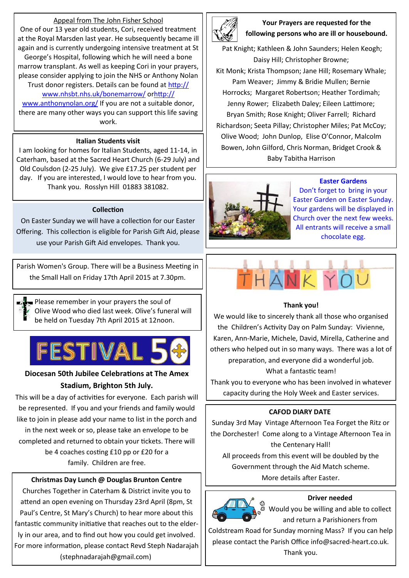# Appeal from The John Fisher School

One of our 13 year old students, Cori, received treatment at the Royal Marsden last year. He subsequently became ill again and is currently undergoing intensive treatment at St George's Hospital, following which he will need a bone marrow transplant. As well as keeping Cori in your prayers, please consider applying to join the NHS or Anthony Nolan Trust donor registers. Details can be found at [http://](http://www.nhsbt.nhs.uk/bonemarrow/)

# www.nhsbt.nhs.uk/bonemarrow/ o[rhttp://](http://www.anthonynolan.org/)

[www.anthonynolan.org/](http://www.anthonynolan.org/) If you are not a suitable donor, there are many other ways you can support this life saving work.

## **Italian Students visit**

I am looking for homes for Italian Students, aged 11-14, in Caterham, based at the Sacred Heart Church (6-29 July) and Old Coulsdon (2-25 July). We give £17.25 per student per day. If you are interested, I would love to hear from you. Thank you. Rosslyn Hill 01883 381082.

## **Collection**

On Easter Sunday we will have a collection for our Easter Offering. This collection is eligible for Parish Gift Aid, please use your Parish Gift Aid envelopes. Thank you.

Parish Women's Group. There will be a Business Meeting in the Small Hall on Friday 17th April 2015 at 7.30pm.

Please remember in your prayers the soul of Olive Wood who died last week. Olive's funeral will be held on Tuesday 7th April 2015 at 12noon.



# **Diocesan 50th Jubilee Celebrations at The Amex Stadium, Brighton 5th July.**

This will be a day of activities for everyone. Each parish will be represented. If you and your friends and family would like to join in please add your name to list in the porch and in the next week or so, please take an envelope to be completed and returned to obtain your tickets. There will be 4 coaches costing £10 pp or £20 for a family. Children are free.

# **Christmas Day Lunch @ Douglas Brunton Centre**

Churches Together in Caterham & District invite you to attend an open evening on Thursday 23rd April (8pm, St Paul's Centre, St Mary's Church) to hear more about this fantastic community initiative that reaches out to the elderly in our area, and to find out how you could get involved. For more information, please contact Revd Steph Nadarajah (stephnadarajah@gmail.com)



**Your Prayers are requested for the following persons who are ill or housebound.** 

Pat Knight; Kathleen & John Saunders; Helen Keogh; Daisy Hill; Christopher Browne; Kit Monk; Krista Thompson; Jane Hill; Rosemary Whale; Pam Weaver; Jimmy & Bridie Mullen; Bernie Horrocks; Margaret Robertson; Heather Tordimah; Jenny Rower; Elizabeth Daley; Eileen Lattimore; Bryan Smith; Rose Knight; Oliver Farrell; Richard Richardson; Seeta Pillay; Christopher Miles; Pat McCoy; Olive Wood; John Dunlop, Elise O'Connor, Malcolm Bowen, John Gilford, Chris Norman, Bridget Crook & Baby Tabitha Harrison



#### **Easter Gardens**

Don't forget to bring in your Easter Garden on Easter Sunday. Your gardens will be displayed in Church over the next few weeks. All entrants will receive a small chocolate egg.

# **Thank you!**

We would like to sincerely thank all those who organised the Children's Activity Day on Palm Sunday: Vivienne, Karen, Ann-Marie, Michele, David, Mirella, Catherine and others who helped out in so many ways. There was a lot of preparation, and everyone did a wonderful job. What a fantastic team!

Thank you to everyone who has been involved in whatever capacity during the Holy Week and Easter services.

## **CAFOD DIARY DATE**

Sunday 3rd May Vintage Afternoon Tea Forget the Ritz or the Dorchester! Come along to a Vintage Afternoon Tea in the Centenary Hall!

All proceeds from this event will be doubled by the Government through the Aid Match scheme. More details after Easter.



**Driver needed**

Would you be willing and able to collect and return a Parishioners from

Coldstream Road for Sunday morning Mass? If you can help please contact the Parish Office info@sacred-heart.co.uk. Thank you.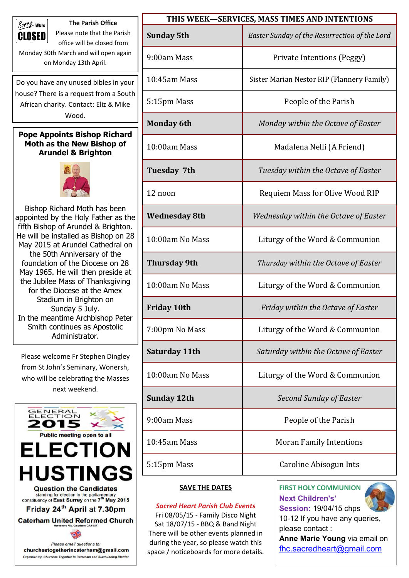

**The Parish Office** Please note that the Parish

office will be closed from Monday 30th March and will open again on Monday 13th April.

Do you have any unused bibles in your house? There is a request from a South African charity. Contact: Eliz & Mike Wood.

# **Pope Appoints Bishop Richard Moth as the New Bishop of Arundel & Brighton**



Bishop Richard Moth has been appointed by the Holy Father as the fifth Bishop of Arundel & Brighton. He will be installed as Bishop on 28 May 2015 at Arundel Cathedral on the 50th Anniversary of the foundation of the Diocese on 28 May 1965. He will then preside at the Jubilee Mass of Thanksgiving for the Diocese at the Amex Stadium in Brighton on Sunday 5 July. In the meantime Archbishop Peter Smith continues as Apostolic Administrator.

Please welcome Fr Stephen Dingley from St John's Seminary, Wonersh, who will be celebrating the Masses next weekend.



| THIS WEEK-SERVICES, MASS TIMES AND INTENTIONS |                                               |
|-----------------------------------------------|-----------------------------------------------|
| <b>Sunday 5th</b>                             | Easter Sunday of the Resurrection of the Lord |
| 9:00am Mass                                   | Private Intentions (Peggy)                    |
| $10:45$ am Mass                               | Sister Marian Nestor RIP (Flannery Family)    |
| 5:15pm Mass                                   | People of the Parish                          |
| <b>Monday 6th</b>                             | Monday within the Octave of Easter            |
| 10:00am Mass                                  | Madalena Nelli (A Friend)                     |
| Tuesday 7th                                   | Tuesday within the Octave of Easter           |
| 12 noon                                       | Requiem Mass for Olive Wood RIP               |
| <b>Wednesday 8th</b>                          | Wednesday within the Octave of Easter         |
| 10:00am No Mass                               | Liturgy of the Word & Communion               |
| <b>Thursday 9th</b>                           | Thursday within the Octave of Easter          |
| 10:00am No Mass                               | Liturgy of the Word & Communion               |
| <b>Friday 10th</b>                            | Friday within the Octave of Easter            |
| 7:00pm No Mass                                | Liturgy of the Word & Communion               |
| Saturday 11th                                 | Saturday within the Octave of Easter          |
| 10:00am No Mass                               | Liturgy of the Word & Communion               |
| <b>Sunday 12th</b>                            | <b>Second Sunday of Easter</b>                |
| 9:00am Mass                                   | People of the Parish                          |
| 10:45am Mass                                  | <b>Moran Family Intentions</b>                |
| 5:15pm Mass                                   | Caroline Abisogun Ints                        |

# **SAVE THE DATES**

*Sacred Heart Parish Club Events* Fri 08/05/15 - Family Disco Night Sat 18/07/15 - BBQ & Band Night There will be other events planned in during the year, so please watch this space / noticeboards for more details. **FIRST HOLY COMMUNION Next Children's' Session:** 19/04/15 chps



10-12 If you have any queries, please contact :

**Anne Marie Young** via email on [fhc.sacredheart@gmail.com](mailto:fhc.sacredheart@gmail.com)